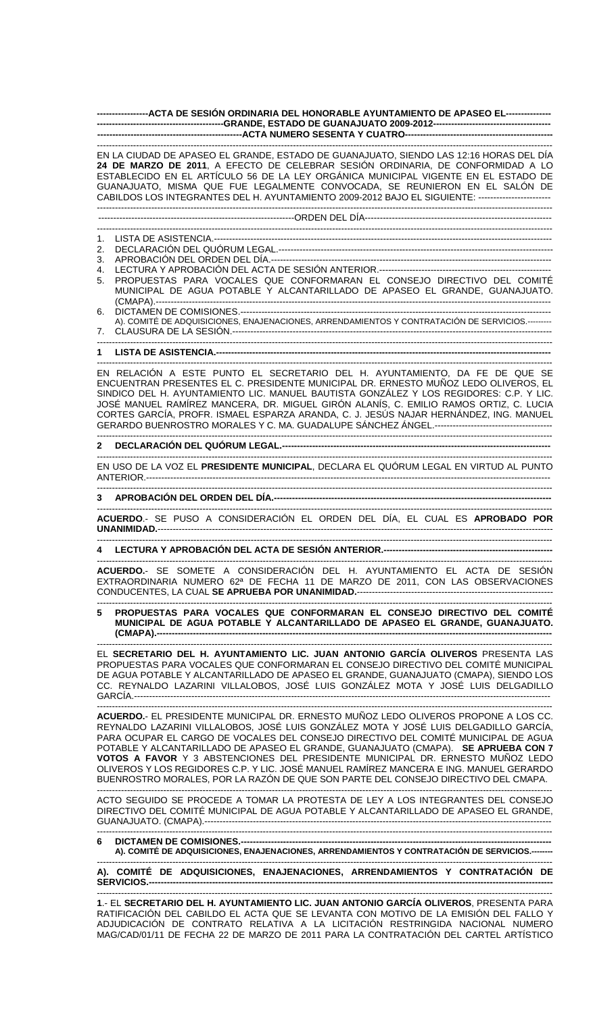**-----------------ACTA DE SESIÓN ORDINARIA DEL HONORABLE AYUNTAMIENTO DE APASEO EL--------------- ------------------------------------------GRANDE, ESTADO DE GUANAJUATO 2009-2012--------------------------------------- ------------------------------------------------ACTA NUMERO SESENTA Y CUATRO-------------------------------------------------** 

------------------------------------------------------------------------------------------------------------------------------------------------------- EN LA CIUDAD DE APASEO EL GRANDE, ESTADO DE GUANAJUATO, SIENDO LAS 12:16 HORAS DEL DÍA **24 DE MARZO DE 2011**, A EFECTO DE CELEBRAR SESIÓN ORDINARIA, DE CONFORMIDAD A LO ESTABLECIDO EN EL ARTÍCULO 56 DE LA LEY ORGÁNICA MUNICIPAL VIGENTE EN EL ESTADO DE GUANAJUATO, MISMA QUE FUE LEGALMENTE CONVOCADA, SE REUNIERON EN EL SALÓN DE CABILDOS LOS INTEGRANTES DEL H. AYUNTAMIENTO 2009-2012 BAJO EL SIGUIENTE: ------------------------ -------------------------------------------------------------------------------------------------------------------------------------------------------

-----------------------------------------------------------------ORDEN DEL DÍA--------------------------------------------------------------

------------------------------------------------------------------------------------------------------------------------------------------------------- 1. LISTA DE ASISTENCIA.----------------------------------------------------------------------------------------------------------------

- 2. DECLARACIÓN DEL QUÓRUM LEGAL.-------------------------------------------------------------------------------------------
- 3. APROBACIÓN DEL ORDEN DEL DÍA.---
- 4. LECTURA Y APROBACIÓN DEL ACTA DE SESIÓN ANTERIOR.---------------------------------------------------------
- 5. PROPUESTAS PARA VOCALES QUE CONFORMARAN EL CONSEJO DIRECTIVO DEL COMITÉ MUNICIPAL DE AGUA POTABLE Y ALCANTARILLADO DE APASEO EL GRANDE, GUANAJUATO. (CMAPA).-----------------------------------------------------------------------------------------------------------------------------------
- 6. DICTAMEN DE COMISIONES.------------------------------------------------------------------------------------------------------- A). COMITÉ DE ADQUISICIONES, ENAJENACIONES, ARRENDAMIENTOS Y CONTRATACIÓN DE SERVICIOS.---------
- 7. CLAUSURA DE LA SESIÓN.---------------------------------------------------------------------------------------------------------- -------------------------------------------------------------------------------------------------------------------------------------------------------

## **1 LISTA DE ASISTENCIA.---------------------------------------------------------------------------------------------------------------**  -------------------------------------------------------------------------------------------------------------------------------------------------------

EN RELACIÓN A ESTE PUNTO EL SECRETARIO DEL H. AYUNTAMIENTO, DA FE DE QUE SE ENCUENTRAN PRESENTES EL C. PRESIDENTE MUNICIPAL DR. ERNESTO MUÑOZ LEDO OLIVEROS, EL SINDICO DEL H. AYUNTAMIENTO LIC. MANUEL BAUTISTA GONZÁLEZ Y LOS REGIDORES: C.P. Y LIC. JOSÉ MANUEL RAMÍREZ MANCERA, DR. MIGUEL GIRÓN ALANÍS, C. EMILIO RAMOS ORTIZ, C. LUCIA CORTES GARCÍA, PROFR. ISMAEL ESPARZA ARANDA, C. J. JESÚS NAJAR HERNÁNDEZ, ING. MANUEL GERARDO BUENROSTRO MORALES Y C. MA. GUADALUPE SÁNCHEZ ÁNGEL.---------------------------------------

------------------------------------------------------------------------------------------------------------------------------------------------------- **2 DECLARACIÓN DEL QUÓRUM LEGAL.-----------------------------------------------------------------------------------------** 

------------------------------------------------------------------------------------------------------------------------------------------------------- EN USO DE LA VOZ EL **PRESIDENTE MUNICIPAL**, DECLARA EL QUÓRUM LEGAL EN VIRTUD AL PUNTO ANTERIOR.--------------------------------------------------------------------------------------------------------------------------------------

## ------------------------------------------------------------------------------------------------------------------------------------------------------- 3 APROBACIÓN DEL ORDEN DEL DÍA.---

------------------------------------------------------------------------------------------------------------------------------------------------------- **ACUERDO**.- SE PUSO A CONSIDERACIÓN EL ORDEN DEL DÍA, EL CUAL ES **APROBADO POR UNANIMIDAD.**-----------------------------------------------------------------------------------------------------------------------------------

-------------------------------------------------------------------------------------------------------------------------------------------------------

## **4 LECTURA Y APROBACIÓN DEL ACTA DE SESIÓN ANTERIOR.--------------------------------------------------------**

------------------------------------------------------------------------------------------------------------------------------------------------------- **ACUERDO.**- SE SOMETE A CONSIDERACIÓN DEL H. AYUNTAMIENTO EL ACTA DE SESIÓN EXTRAORDINARIA NUMERO 62ª DE FECHA 11 DE MARZO DE 2011, CON LAS OBSERVACIONES CONDUCENTES, LA CUAL **SE APRUEBA POR UNANIMIDAD.**-----------------------------------------------------------------

------------------------------------------------------------------------------------------------------------------------------------------------------- **5 PROPUESTAS PARA VOCALES QUE CONFORMARAN EL CONSEJO DIRECTIVO DEL COMITÉ MUNICIPAL DE AGUA POTABLE Y ALCANTARILLADO DE APASEO EL GRANDE, GUANAJUATO. (CMAPA).-----------------------------------------------------------------------------------------------------------------------------------** 

------------------------------------------------------------------------------------------------------------------------------------------------------- EL **SECRETARIO DEL H. AYUNTAMIENTO LIC. JUAN ANTONIO GARCÍA OLIVEROS** PRESENTA LAS PROPUESTAS PARA VOCALES QUE CONFORMARAN EL CONSEJO DIRECTIVO DEL COMITÉ MUNICIPAL DE AGUA POTABLE Y ALCANTARILLADO DE APASEO EL GRANDE, GUANAJUATO (CMAPA), SIENDO LOS CC. REYNALDO LAZARINI VILLALOBOS, JOSÉ LUIS GONZÁLEZ MOTA Y JOSÉ LUIS DELGADILLO GARCÍA.------------------------------------------------------------------------------------------------------------------------------------------

------------------------------------------------------------------------------------------------------------------------------------------------------- **ACUERDO.**- EL PRESIDENTE MUNICIPAL DR. ERNESTO MUÑOZ LEDO OLIVEROS PROPONE A LOS CC. REYNALDO LAZARINI VILLALOBOS, JOSÉ LUIS GONZÁLEZ MOTA Y JOSÉ LUIS DELGADILLO GARCÍA, PARA OCUPAR EL CARGO DE VOCALES DEL CONSEJO DIRECTIVO DEL COMITÉ MUNICIPAL DE AGUA POTABLE Y ALCANTARILLADO DE APASEO EL GRANDE, GUANAJUATO (CMAPA). **SE APRUEBA CON 7 VOTOS A FAVOR** Y 3 ABSTENCIONES DEL PRESIDENTE MUNICIPAL DR. ERNESTO MUÑOZ LEDO OLIVEROS Y LOS REGIDORES C.P. Y LIC. JOSÉ MANUEL RAMÍREZ MANCERA E ING. MANUEL GERARDO BUENROSTRO MORALES, POR LA RAZÓN DE QUE SON PARTE DEL CONSEJO DIRECTIVO DEL CMAPA.

------------------------------------------------------------------------------------------------------------------------------------------------------- ACTO SEGUIDO SE PROCEDE A TOMAR LA PROTESTA DE LEY A LOS INTEGRANTES DEL CONSEJO DIRECTIVO DEL COMITÉ MUNICIPAL DE AGUA POTABLE Y ALCANTARILLADO DE APASEO EL GRANDE, GUANAJUATO. (CMAPA).-------------------------------------------------------------------------------------------------------------------

------------------------------------------------------------------------------------------------------------------------------------------------------- **6 DICTAMEN DE COMISIONES.-A). COMITÉ DE ADQUISICIONES, ENAJENACIONES, ARRENDAMIENTOS Y CONTRATACIÓN DE SERVICIOS.--------** 

------------------------------------------------------------------------------------------------------------------------------------------------------- **A). COMITÉ DE ADQUISICIONES, ENAJENACIONES, ARRENDAMIENTOS Y CONTRATACIÓN DE** 

SERVICIOS.--------------------------------------------------------------------------------------------------------------------------------------------------------

**1**.- EL **SECRETARIO DEL H. AYUNTAMIENTO LIC. JUAN ANTONIO GARCÍA OLIVEROS**, PRESENTA PARA RATIFICACIÓN DEL CABILDO EL ACTA QUE SE LEVANTA CON MOTIVO DE LA EMISIÓN DEL FALLO Y ADJUDICACIÓN DE CONTRATO RELATIVA A LA LICITACIÓN RESTRINGIDA NACIONAL NUMERO MAG/CAD/01/11 DE FECHA 22 DE MARZO DE 2011 PARA LA CONTRATACIÓN DEL CARTEL ARTÍSTICO